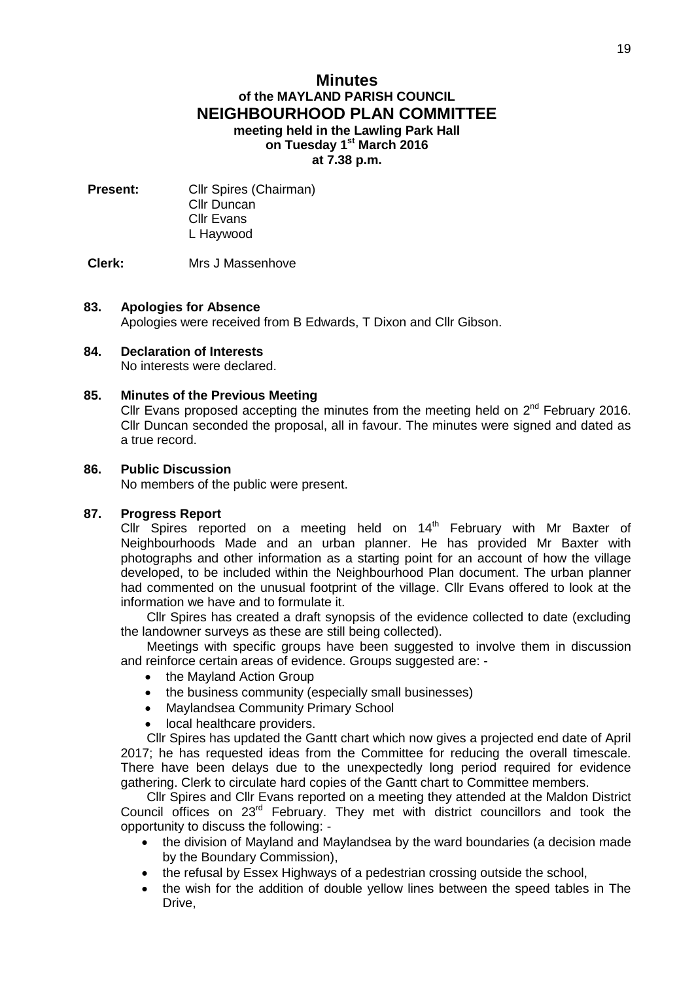## **Minutes of the MAYLAND PARISH COUNCIL NEIGHBOURHOOD PLAN COMMITTEE meeting held in the Lawling Park Hall on Tuesday 1 st March 2016 at 7.38 p.m.**

**Present:** Cllr Spires (Chairman) Cllr Duncan Cllr Evans L Haywood

## **Clerk:** Mrs J Massenhove

### **83. Apologies for Absence**

Apologies were received from B Edwards, T Dixon and Cllr Gibson.

#### **84. Declaration of Interests** No interests were declared.

# **85. Minutes of the Previous Meeting**

Cllr Evans proposed accepting the minutes from the meeting held on  $2^{nd}$  February 2016. Cllr Duncan seconded the proposal, all in favour. The minutes were signed and dated as a true record.

## **86. Public Discussion**

No members of the public were present.

### **87. Progress Report**

Cllr Spires reported on a meeting held on  $14<sup>th</sup>$  February with Mr Baxter of Neighbourhoods Made and an urban planner. He has provided Mr Baxter with photographs and other information as a starting point for an account of how the village developed, to be included within the Neighbourhood Plan document. The urban planner had commented on the unusual footprint of the village. Cllr Evans offered to look at the information we have and to formulate it.

Cllr Spires has created a draft synopsis of the evidence collected to date (excluding the landowner surveys as these are still being collected).

Meetings with specific groups have been suggested to involve them in discussion and reinforce certain areas of evidence. Groups suggested are: -

- the Mayland Action Group
- the business community (especially small businesses)
- Maylandsea Community Primary School
- local healthcare providers.

Cllr Spires has updated the Gantt chart which now gives a projected end date of April 2017; he has requested ideas from the Committee for reducing the overall timescale. There have been delays due to the unexpectedly long period required for evidence gathering. Clerk to circulate hard copies of the Gantt chart to Committee members.

Cllr Spires and Cllr Evans reported on a meeting they attended at the Maldon District Council offices on 23rd February. They met with district councillors and took the opportunity to discuss the following: -

- the division of Mayland and Maylandsea by the ward boundaries (a decision made by the Boundary Commission),
- the refusal by Essex Highways of a pedestrian crossing outside the school,
- the wish for the addition of double yellow lines between the speed tables in The Drive,